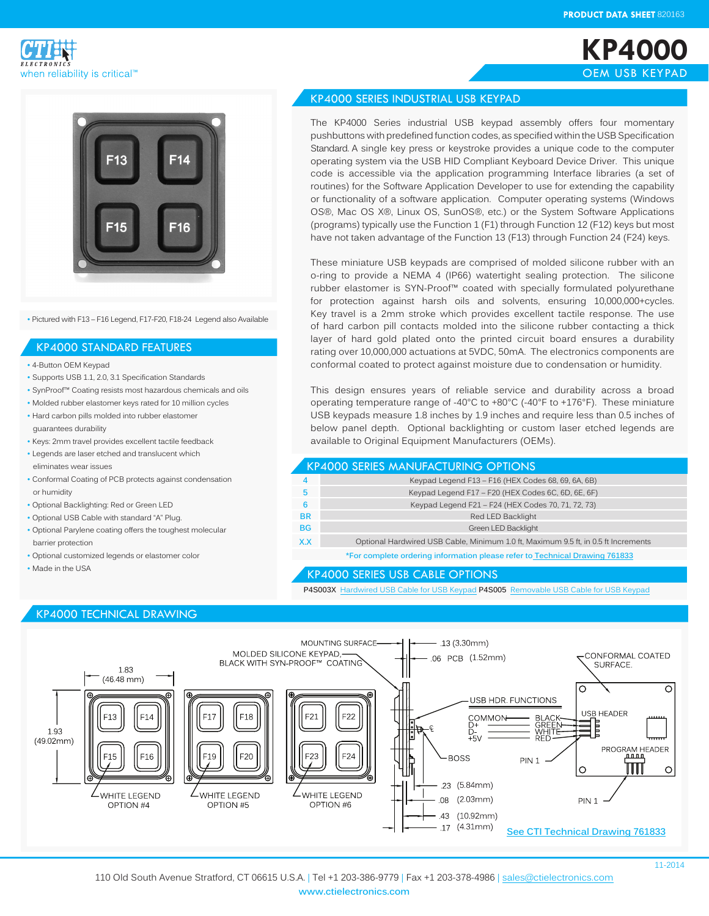**KP4000** OEM USB KEYPAD





• Pictured with F13 – F16 Legend, F17-F20, F18-24 Legend also Available

#### KP4000 STANDARD FEATURES

- 4-Button OEM Keypad
- Supports USB 1.1, 2.0, 3.1 Specification Standards
- SynProof™ Coating resists most hazardous chemicals and oils
- Molded rubber elastomer keys rated for 10 million cycles
- Hard carbon pills molded into rubber elastomer guarantees durability
- Keys: 2mm travel provides excellent tactile feedback
- Legends are laser etched and translucent which eliminates wear issues
- Conformal Coating of PCB protects against condensation or humidity
- Optional Backlighting: Red or Green LED
- Optional USB Cable with standard "A" Plug. • Optional Parylene coating offers the toughest molecular
- barrier protection
- Optional customized legends or elastomer color
- Made in the USA

## KP4000 TECHNICAL DRAWING



### KP4000 SERIES INDUSTRIAL USB KEYPAD

The KP4000 Series industrial USB keypad assembly offers four momentary pushbuttons with predefined function codes, as specified within the USB Specification Standard. A single key press or keystroke provides a unique code to the computer operating system via the USB HID Compliant Keyboard Device Driver. This unique code is accessible via the application programming Interface libraries (a set of routines) for the Software Application Developer to use for extending the capability or functionality of a software application. Computer operating systems (Windows OS®, Mac OS X®, Linux OS, SunOS®, etc.) or the System Software Applications (programs) typically use the Function 1 (F1) through Function 12 (F12) keys but most have not taken advantage of the Function 13 (F13) through Function 24 (F24) keys.

These miniature USB keypads are comprised of molded silicone rubber with an o-ring to provide a NEMA 4 (IP66) watertight sealing protection. The silicone rubber elastomer is SYN-Proof™ coated with specially formulated polyurethane for protection against harsh oils and solvents, ensuring 10,000,000+cycles. Key travel is a 2mm stroke which provides excellent tactile response. The use of hard carbon pill contacts molded into the silicone rubber contacting a thick layer of hard gold plated onto the printed circuit board ensures a durability rating over 10,000,000 actuations at 5VDC, 50mA. The electronics components are conformal coated to protect against moisture due to condensation or humidity.

This design ensures years of reliable service and durability across a broad operating temperature range of -40°C to +80°C (-40°F to +176°F). These miniature USB keypads measure 1.8 inches by 1.9 inches and require less than 0.5 inches of below panel depth. Optional backlighting or custom laser etched legends are available to Original Equipment Manufacturers (OEMs).

|           | <b>KP4000 SERIES MANUFACTURING OPTIONS</b>                                         |
|-----------|------------------------------------------------------------------------------------|
|           | Keypad Legend F13 - F16 (HEX Codes 68, 69, 6A, 6B)                                 |
|           | Keypad Legend F17 - F20 (HEX Codes 6C, 6D, 6E, 6F)                                 |
| 6         | Keypad Legend F21 - F24 (HEX Codes 70, 71, 72, 73)                                 |
| <b>BR</b> | Red LED Backlight                                                                  |
| <b>BG</b> | Green LED Backlight                                                                |
| X.X       | Optional Hardwired USB Cable, Minimum 1.0 ft, Maximum 9.5 ft, in 0.5 ft Increments |
|           |                                                                                    |

**\*For complete ordering information please refer to Technical Drawing 761833**

#### KP4000 SERIES USB CABLE OPTIONS

**P4S003X** Hardwired USB Cable for USB Keypad **P4S005** Removable USB Cable for USB Keypad